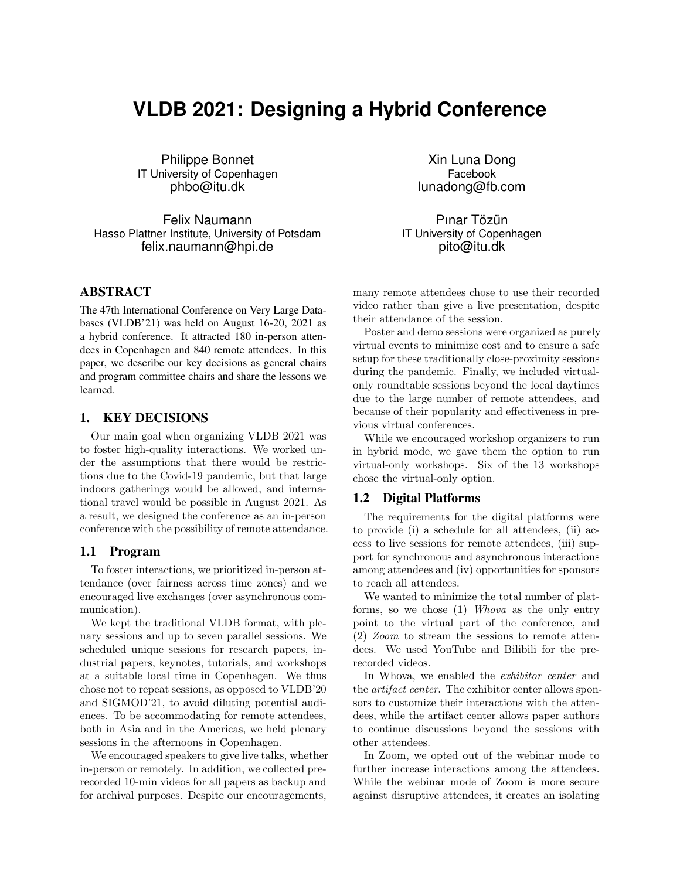# **VLDB 2021: Designing a Hybrid Conference**

Philippe Bonnet IT University of Copenhagen phbo@itu.dk

Felix Naumann Hasso Plattner Institute, University of Potsdam felix.naumann@hpi.de

# ABSTRACT

The 47th International Conference on Very Large Databases (VLDB'21) was held on August 16-20, 2021 as a hybrid conference. It attracted 180 in-person attendees in Copenhagen and 840 remote attendees. In this paper, we describe our key decisions as general chairs and program committee chairs and share the lessons we learned.

# 1. KEY DECISIONS

Our main goal when organizing VLDB 2021 was to foster high-quality interactions. We worked under the assumptions that there would be restrictions due to the Covid-19 pandemic, but that large indoors gatherings would be allowed, and international travel would be possible in August 2021. As a result, we designed the conference as an in-person conference with the possibility of remote attendance.

## 1.1 Program

To foster interactions, we prioritized in-person attendance (over fairness across time zones) and we encouraged live exchanges (over asynchronous communication).

We kept the traditional VLDB format, with plenary sessions and up to seven parallel sessions. We scheduled unique sessions for research papers, industrial papers, keynotes, tutorials, and workshops at a suitable local time in Copenhagen. We thus chose not to repeat sessions, as opposed to VLDB'20 and SIGMOD'21, to avoid diluting potential audiences. To be accommodating for remote attendees, both in Asia and in the Americas, we held plenary sessions in the afternoons in Copenhagen.

We encouraged speakers to give live talks, whether in-person or remotely. In addition, we collected prerecorded 10-min videos for all papers as backup and for archival purposes. Despite our encouragements,

Xin Luna Dong Facebook lunadong@fb.com

Pınar Tözün IT University of Copenhagen pito@itu.dk

many remote attendees chose to use their recorded video rather than give a live presentation, despite their attendance of the session.

Poster and demo sessions were organized as purely virtual events to minimize cost and to ensure a safe setup for these traditionally close-proximity sessions during the pandemic. Finally, we included virtualonly roundtable sessions beyond the local daytimes due to the large number of remote attendees, and because of their popularity and effectiveness in previous virtual conferences.

While we encouraged workshop organizers to run in hybrid mode, we gave them the option to run virtual-only workshops. Six of the 13 workshops chose the virtual-only option.

#### 1.2 Digital Platforms

The requirements for the digital platforms were to provide (i) a schedule for all attendees, (ii) access to live sessions for remote attendees, (iii) support for synchronous and asynchronous interactions among attendees and (iv) opportunities for sponsors to reach all attendees.

We wanted to minimize the total number of platforms, so we chose (1) Whova as the only entry point to the virtual part of the conference, and (2) Zoom to stream the sessions to remote attendees. We used YouTube and Bilibili for the prerecorded videos.

In Whova, we enabled the exhibitor center and the artifact center. The exhibitor center allows sponsors to customize their interactions with the attendees, while the artifact center allows paper authors to continue discussions beyond the sessions with other attendees.

In Zoom, we opted out of the webinar mode to further increase interactions among the attendees. While the webinar mode of Zoom is more secure against disruptive attendees, it creates an isolating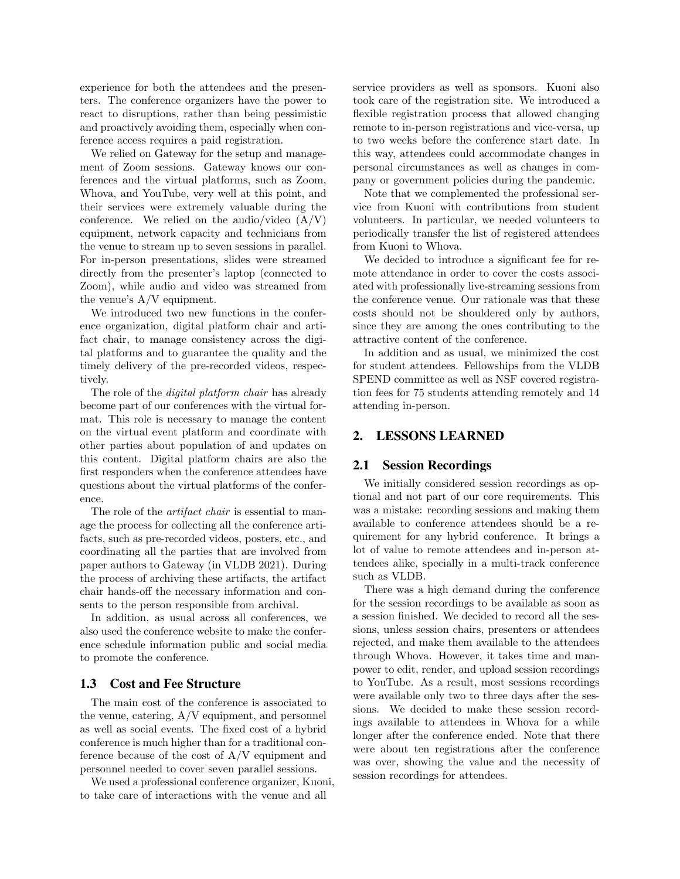experience for both the attendees and the presenters. The conference organizers have the power to react to disruptions, rather than being pessimistic and proactively avoiding them, especially when conference access requires a paid registration.

We relied on Gateway for the setup and management of Zoom sessions. Gateway knows our conferences and the virtual platforms, such as Zoom, Whova, and YouTube, very well at this point, and their services were extremely valuable during the conference. We relied on the audio/video  $(A/V)$ equipment, network capacity and technicians from the venue to stream up to seven sessions in parallel. For in-person presentations, slides were streamed directly from the presenter's laptop (connected to Zoom), while audio and video was streamed from the venue's A/V equipment.

We introduced two new functions in the conference organization, digital platform chair and artifact chair, to manage consistency across the digital platforms and to guarantee the quality and the timely delivery of the pre-recorded videos, respectively.

The role of the *digital platform chair* has already become part of our conferences with the virtual format. This role is necessary to manage the content on the virtual event platform and coordinate with other parties about population of and updates on this content. Digital platform chairs are also the first responders when the conference attendees have questions about the virtual platforms of the conference.

The role of the *artifact chair* is essential to manage the process for collecting all the conference artifacts, such as pre-recorded videos, posters, etc., and coordinating all the parties that are involved from paper authors to Gateway (in VLDB 2021). During the process of archiving these artifacts, the artifact chair hands-off the necessary information and consents to the person responsible from archival.

In addition, as usual across all conferences, we also used the conference website to make the conference schedule information public and social media to promote the conference.

# 1.3 Cost and Fee Structure

The main cost of the conference is associated to the venue, catering, A/V equipment, and personnel as well as social events. The fixed cost of a hybrid conference is much higher than for a traditional conference because of the cost of A/V equipment and personnel needed to cover seven parallel sessions.

We used a professional conference organizer, Kuoni, to take care of interactions with the venue and all

service providers as well as sponsors. Kuoni also took care of the registration site. We introduced a flexible registration process that allowed changing remote to in-person registrations and vice-versa, up to two weeks before the conference start date. In this way, attendees could accommodate changes in personal circumstances as well as changes in company or government policies during the pandemic.

Note that we complemented the professional service from Kuoni with contributions from student volunteers. In particular, we needed volunteers to periodically transfer the list of registered attendees from Kuoni to Whova.

We decided to introduce a significant fee for remote attendance in order to cover the costs associated with professionally live-streaming sessions from the conference venue. Our rationale was that these costs should not be shouldered only by authors, since they are among the ones contributing to the attractive content of the conference.

In addition and as usual, we minimized the cost for student attendees. Fellowships from the VLDB SPEND committee as well as NSF covered registration fees for 75 students attending remotely and 14 attending in-person.

# 2. LESSONS LEARNED

# 2.1 Session Recordings

We initially considered session recordings as optional and not part of our core requirements. This was a mistake: recording sessions and making them available to conference attendees should be a requirement for any hybrid conference. It brings a lot of value to remote attendees and in-person attendees alike, specially in a multi-track conference such as VLDB.

There was a high demand during the conference for the session recordings to be available as soon as a session finished. We decided to record all the sessions, unless session chairs, presenters or attendees rejected, and make them available to the attendees through Whova. However, it takes time and manpower to edit, render, and upload session recordings to YouTube. As a result, most sessions recordings were available only two to three days after the sessions. We decided to make these session recordings available to attendees in Whova for a while longer after the conference ended. Note that there were about ten registrations after the conference was over, showing the value and the necessity of session recordings for attendees.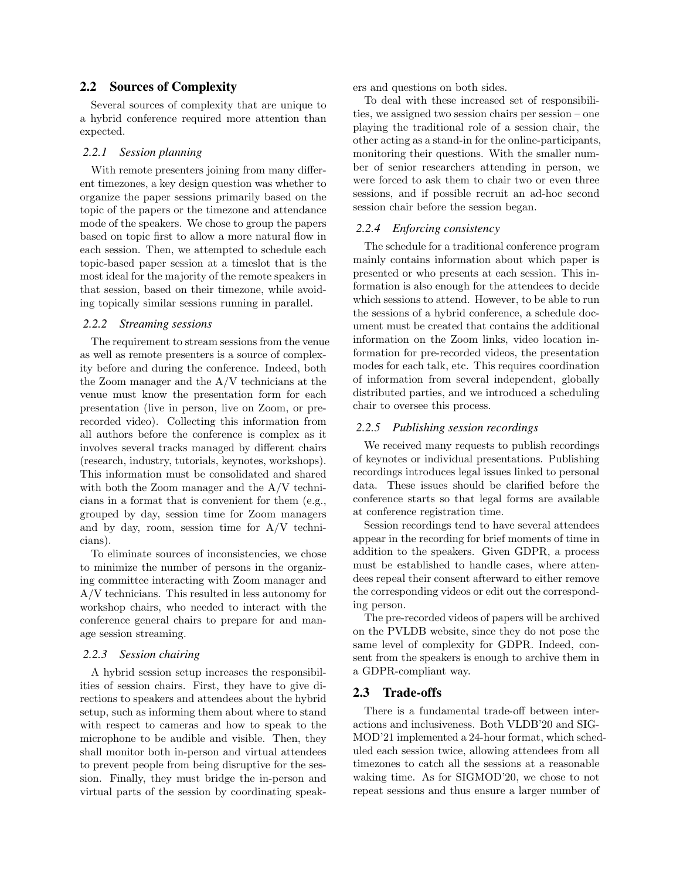## 2.2 Sources of Complexity

Several sources of complexity that are unique to a hybrid conference required more attention than expected.

## *2.2.1 Session planning*

With remote presenters joining from many different timezones, a key design question was whether to organize the paper sessions primarily based on the topic of the papers or the timezone and attendance mode of the speakers. We chose to group the papers based on topic first to allow a more natural flow in each session. Then, we attempted to schedule each topic-based paper session at a timeslot that is the most ideal for the majority of the remote speakers in that session, based on their timezone, while avoiding topically similar sessions running in parallel.

#### *2.2.2 Streaming sessions*

The requirement to stream sessions from the venue as well as remote presenters is a source of complexity before and during the conference. Indeed, both the Zoom manager and the A/V technicians at the venue must know the presentation form for each presentation (live in person, live on Zoom, or prerecorded video). Collecting this information from all authors before the conference is complex as it involves several tracks managed by different chairs (research, industry, tutorials, keynotes, workshops). This information must be consolidated and shared with both the Zoom manager and the A/V technicians in a format that is convenient for them (e.g., grouped by day, session time for Zoom managers and by day, room, session time for  $A/V$  technicians).

To eliminate sources of inconsistencies, we chose to minimize the number of persons in the organizing committee interacting with Zoom manager and A/V technicians. This resulted in less autonomy for workshop chairs, who needed to interact with the conference general chairs to prepare for and manage session streaming.

## *2.2.3 Session chairing*

A hybrid session setup increases the responsibilities of session chairs. First, they have to give directions to speakers and attendees about the hybrid setup, such as informing them about where to stand with respect to cameras and how to speak to the microphone to be audible and visible. Then, they shall monitor both in-person and virtual attendees to prevent people from being disruptive for the session. Finally, they must bridge the in-person and virtual parts of the session by coordinating speakers and questions on both sides.

To deal with these increased set of responsibilities, we assigned two session chairs per session – one playing the traditional role of a session chair, the other acting as a stand-in for the online-participants, monitoring their questions. With the smaller number of senior researchers attending in person, we were forced to ask them to chair two or even three sessions, and if possible recruit an ad-hoc second session chair before the session began.

## *2.2.4 Enforcing consistency*

The schedule for a traditional conference program mainly contains information about which paper is presented or who presents at each session. This information is also enough for the attendees to decide which sessions to attend. However, to be able to run the sessions of a hybrid conference, a schedule document must be created that contains the additional information on the Zoom links, video location information for pre-recorded videos, the presentation modes for each talk, etc. This requires coordination of information from several independent, globally distributed parties, and we introduced a scheduling chair to oversee this process.

#### *2.2.5 Publishing session recordings*

We received many requests to publish recordings of keynotes or individual presentations. Publishing recordings introduces legal issues linked to personal data. These issues should be clarified before the conference starts so that legal forms are available at conference registration time.

Session recordings tend to have several attendees appear in the recording for brief moments of time in addition to the speakers. Given GDPR, a process must be established to handle cases, where attendees repeal their consent afterward to either remove the corresponding videos or edit out the corresponding person.

The pre-recorded videos of papers will be archived on the PVLDB website, since they do not pose the same level of complexity for GDPR. Indeed, consent from the speakers is enough to archive them in a GDPR-compliant way.

## 2.3 Trade-offs

There is a fundamental trade-off between interactions and inclusiveness. Both VLDB'20 and SIG-MOD'21 implemented a 24-hour format, which scheduled each session twice, allowing attendees from all timezones to catch all the sessions at a reasonable waking time. As for SIGMOD'20, we chose to not repeat sessions and thus ensure a larger number of